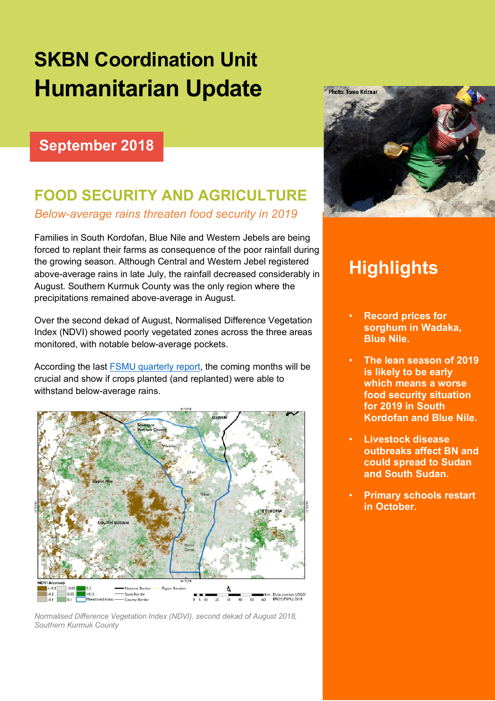# **SKBN Coordination Unit Humanitarian Update**

#### **September 2018**

## **FOOD SECURITY AND AGRICULTURE**

*Below-average rains threaten food security in 2019*

Families in South Kordofan, Blue Nile and Western Jebels are being forced to replant their farms as consequence of the poor rainfall during the growing season. Although Central and Western Jebel registered above-average rains in late July, the rainfall decreased considerably in August. Southern Kurmuk County was the only region where the precipitations remained above-average in August.

Over the second dekad of August, Normalised Difference Vegetation Index (NDVI) showed poorly vegetated zones across the three areas monitored, with notable below-average pockets.

According the last FSMU quarterly report, the coming months will be crucial and show if crops planted (and replanted) were able to withstand below-average rains.



*Normalised Difference Vegetation Index (NDVI), second dekad of August 2018, Southern Kurmuk County* 



## **Highlights**

- **Record prices for sorghum in Wadaka, Blue Nile.**
- **The lean season of 2019 is likely to be early which means a worse food security situation for 2019 in South Kordofan and Blue Nile.**
- **Livestock disease outbreaks affect BN and could spread to Sudan and South Sudan.**
- **Primary schools restart in October.**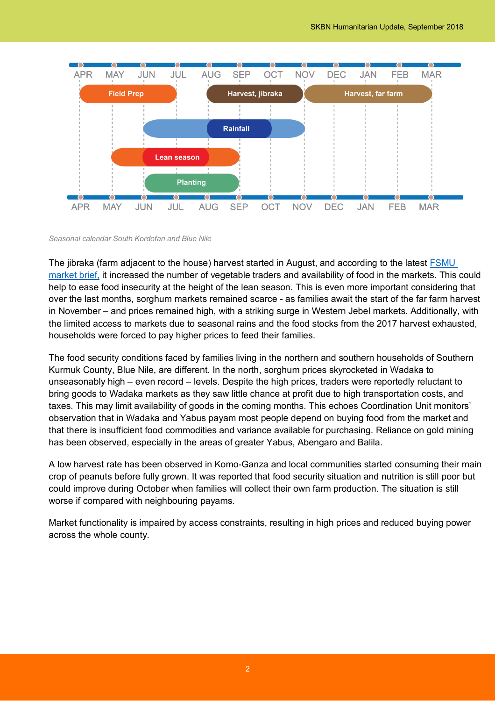

#### *Seasonal calendar South Kordofan and Blue Nile*

The jibraka (farm adjacent to the house) harvest started in August, and according to the latest FSMU market brief, it increased the number of vegetable traders and availability of food in the markets. This could help to ease food insecurity at the height of the lean season. This is even more important considering that over the last months, sorghum markets remained scarce - as families await the start of the far farm harvest in November – and prices remained high, with a striking surge in Western Jebel markets. Additionally, with the limited access to markets due to seasonal rains and the food stocks from the 2017 harvest exhausted, households were forced to pay higher prices to feed their families.

The food security conditions faced by families living in the northern and southern households of Southern Kurmuk County, Blue Nile, are different. In the north, sorghum prices skyrocketed in Wadaka to unseasonably high – even record – levels. Despite the high prices, traders were reportedly reluctant to bring goods to Wadaka markets as they saw little chance at profit due to high transportation costs, and taxes. This may limit availability of goods in the coming months. This echoes Coordination Unit monitors' observation that in Wadaka and Yabus payam most people depend on buying food from the market and that there is insufficient food commodities and variance available for purchasing. Reliance on gold mining has been observed, especially in the areas of greater Yabus, Abengaro and Balila.

A low harvest rate has been observed in Komo-Ganza and local communities started consuming their main crop of peanuts before fully grown. It was reported that food security situation and nutrition is still poor but could improve during October when families will collect their own farm production. The situation is still worse if compared with neighbouring payams.

Market functionality is impaired by access constraints, resulting in high prices and reduced buying power across the whole county.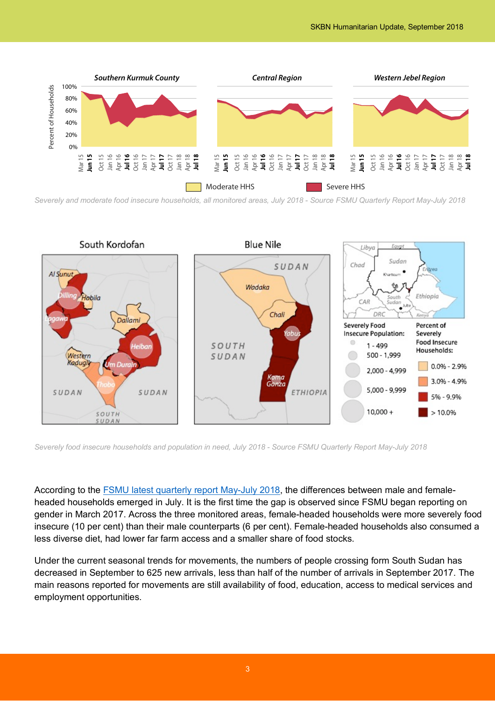

*Severely and moderate food insecure households, all monitored areas, July 2018 - Source FSMU Quarterly Report May-July 2018*



*Severely food insecure households and population in need, July 2018 - Source FSMU Quarterly Report May-July 2018*

According to the FSMU latest quarterly report May-July 2018, the differences between male and femaleheaded households emerged in July. It is the first time the gap is observed since FSMU began reporting on gender in March 2017. Across the three monitored areas, female-headed households were more severely food insecure (10 per cent) than their male counterparts (6 per cent). Female-headed households also consumed a less diverse diet, had lower far farm access and a smaller share of food stocks.

Under the current seasonal trends for movements, the numbers of people crossing form South Sudan has decreased in September to 625 new arrivals, less than half of the number of arrivals in September 2017. The main reasons reported for movements are still availability of food, education, access to medical services and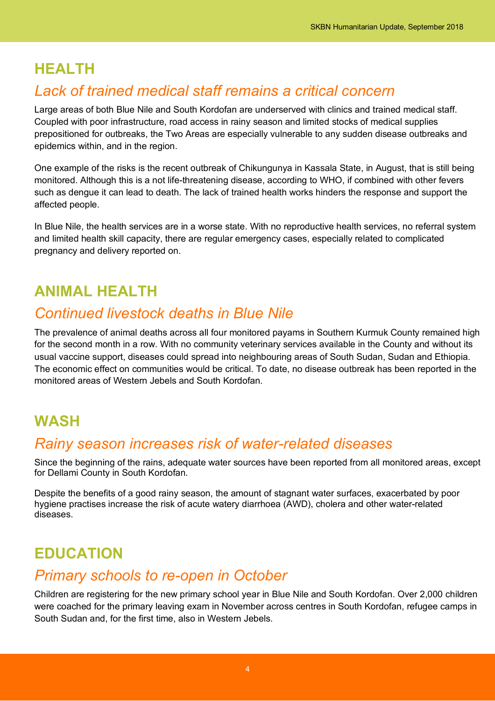#### **HEALTH**

#### *Lack of trained medical staff remains a critical concern*

Large areas of both Blue Nile and South Kordofan are underserved with clinics and trained medical staff. Coupled with poor infrastructure, road access in rainy season and limited stocks of medical supplies prepositioned for outbreaks, the Two Areas are especially vulnerable to any sudden disease outbreaks and epidemics within, and in the region.

One example of the risks is the recent outbreak of Chikungunya in Kassala State, in August, that is still being monitored. Although this is a not life-threatening disease, according to WHO, if combined with other fevers such as dengue it can lead to death. The lack of trained health works hinders the response and support the affected people.

In Blue Nile, the health services are in a worse state. With no reproductive health services, no referral system and limited health skill capacity, there are regular emergency cases, especially related to complicated pregnancy and delivery reported on.

### **ANIMAL HEALTH**

#### *Continued livestock deaths in Blue Nile*

The prevalence of animal deaths across all four monitored payams in Southern Kurmuk County remained high for the second month in a row. With no community veterinary services available in the County and without its usual vaccine support, diseases could spread into neighbouring areas of South Sudan, Sudan and Ethiopia. The economic effect on communities would be critical. To date, no disease outbreak has been reported in the monitored areas of Western Jebels and South Kordofan.

#### **WASH**

#### *Rainy season increases risk of water-related diseases*

Since the beginning of the rains, adequate water sources have been reported from all monitored areas, except for Dellami County in South Kordofan.

Despite the benefits of a good rainy season, the amount of stagnant water surfaces, exacerbated by poor hygiene practises increase the risk of acute watery diarrhoea (AWD), cholera and other water-related diseases.

#### **EDUCATION**

#### *Primary schools to re-open in October*

Children are registering for the new primary school year in Blue Nile and South Kordofan. Over 2,000 children were coached for the primary leaving exam in November across centres in South Kordofan, refugee camps in South Sudan and, for the first time, also in Western Jebels.